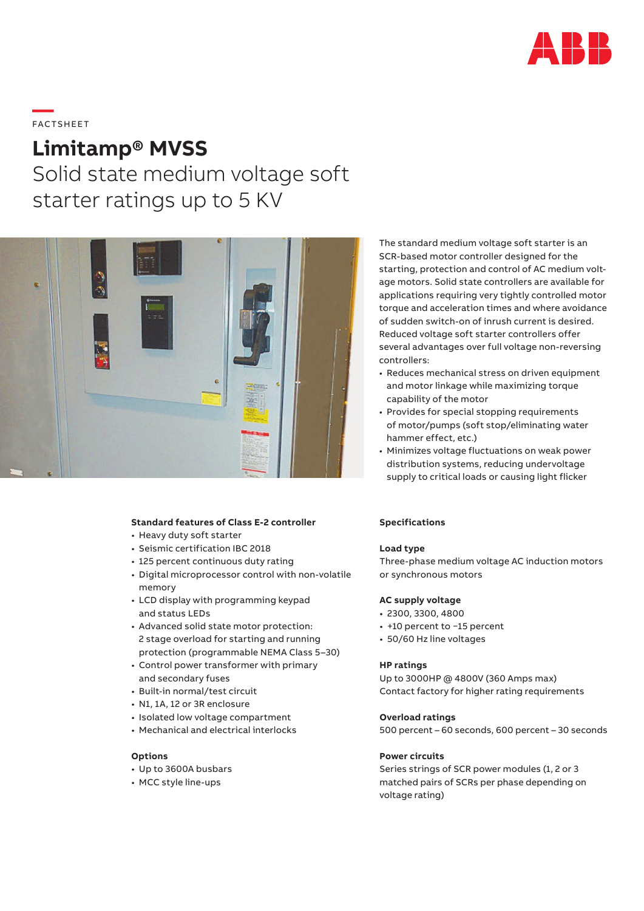

# **—**  FAC TS H EE T

# **Limitamp® MVSS**

Solid state medium voltage soft starter ratings up to 5 KV



# **Standard features of Class E-2 controller**

- Heavy duty soft starter
- Seismic certification IBC 2018
- 125 percent continuous duty rating
- Digital microprocessor control with non-volatile memory
- LCD display with programming keypad and status LEDs
- Advanced solid state motor protection: 2 stage overload for starting and running protection (programmable NEMA Class 5–30)
- Control power transformer with primary and secondary fuses
- Built-in normal/test circuit
- N1, 1A, 12 or 3R enclosure
- Isolated low voltage compartment
- Mechanical and electrical interlocks

# **Options**

- Up to 3600A busbars
- MCC style line-ups

The standard medium voltage soft starter is an SCR-based motor controller designed for the starting, protection and control of AC medium voltage motors. Solid state controllers are available for applications requiring very tightly controlled motor torque and acceleration times and where avoidance of sudden switch-on of inrush current is desired. Reduced voltage soft starter controllers offer several advantages over full voltage non-reversing controllers:

- Reduces mechanical stress on driven equipment and motor linkage while maximizing torque capability of the motor
- Provides for special stopping requirements of motor/pumps (soft stop/eliminating water hammer effect, etc.)
- Minimizes voltage fluctuations on weak power distribution systems, reducing undervoltage supply to critical loads or causing light flicker

#### **Specifications**

#### **Load type**

Three-phase medium voltage AC induction motors or synchronous motors

#### **AC supply voltage**

- 2300, 3300, 4800
- +10 percent to −15 percent
- 50/60 Hz line voltages

#### **HP ratings**

Up to 3000HP @ 4800V (360 Amps max) Contact factory for higher rating requirements

# **Overload ratings**

500 percent – 60 seconds, 600 percent – 30 seconds

# **Power circuits**

Series strings of SCR power modules (1, 2 or 3 matched pairs of SCRs per phase depending on voltage rating)